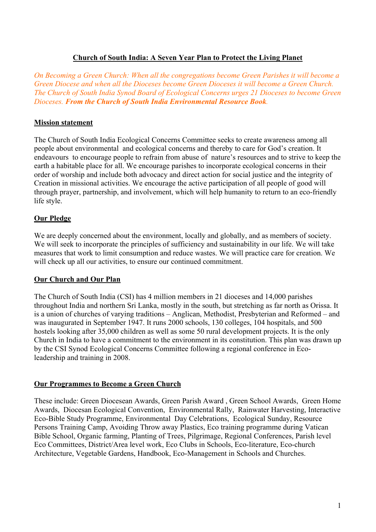## **Church of South India: A Seven Year Plan to Protect the Living Planet**

*On Becoming a Green Church: When all the congregations become Green Parishes it will become a Green Diocese and when all the Dioceses become Green Dioceses it will become a Green Church. The Church of South India Synod Board of Ecological Concerns urges 21 Dioceses to become Green Dioceses. From the Church of South India Environmental Resource Book.*

### **Mission statement**

The Church of South India Ecological Concerns Committee seeks to create awareness among all people about environmental and ecological concerns and thereby to care for God's creation. It endeavours to encourage people to refrain from abuse of nature's resources and to strive to keep the earth a habitable place for all. We encourage parishes to incorporate ecological concerns in their order of worship and include both advocacy and direct action for social justice and the integrity of Creation in missional activities. We encourage the active participation of all people of good will through prayer, partnership, and involvement, which will help humanity to return to an eco-friendly life style.

## **Our Pledge**

We are deeply concerned about the environment, locally and globally, and as members of society. We will seek to incorporate the principles of sufficiency and sustainability in our life. We will take measures that work to limit consumption and reduce wastes. We will practice care for creation. We will check up all our activities, to ensure our continued commitment.

## **Our Church and Our Plan**

The Church of South India (CSI) has 4 million members in 21 dioceses and 14,000 parishes throughout India and northern Sri Lanka, mostly in the south, but stretching as far north as Orissa. It is a union of churches of varying traditions – Anglican, Methodist, Presbyterian and Reformed – and was inaugurated in September 1947. It runs 2000 schools, 130 colleges, 104 hospitals, and 500 hostels looking after 35,000 children as well as some 50 rural development projects. It is the only Church in India to have a commitment to the environment in its constitution. This plan was drawn up by the CSI Synod Ecological Concerns Committee following a regional conference in Ecoleadership and training in 2008.

### **Our Programmes to Become a Green Church**

These include: Green Diocesean Awards, Green Parish Award , Green School Awards, Green Home Awards, Diocesan Ecological Convention, Environmental Rally, Rainwater Harvesting, Interactive Eco-Bible Study Programme, Environmental Day Celebrations, Ecological Sunday, Resource Persons Training Camp, Avoiding Throw away Plastics, Eco training programme during Vatican Bible School, Organic farming, Planting of Trees, Pilgrimage, Regional Conferences, Parish level Eco Committees, District/Area level work, Eco Clubs in Schools, Eco-literature, Eco-church Architecture, Vegetable Gardens, Handbook, Eco-Management in Schools and Churches.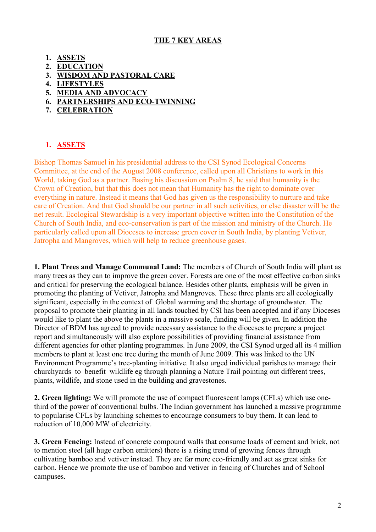### **THE 7 KEY AREAS**

- **1. ASSETS**
- **2. EDUCATION**
- **3. WISDOM AND PASTORAL CARE**
- **4. LIFESTYLES**
- **5. MEDIA AND ADVOCACY**
- **6. PARTNERSHIPS AND ECO-TWINNING**
- **7. CELEBRATION**

## **1. ASSETS**

Bishop Thomas Samuel in his presidential address to the CSI Synod Ecological Concerns Committee, at the end of the August 2008 conference, called upon all Christians to work in this World, taking God as a partner. Basing his discussion on Psalm 8, he said that humanity is the Crown of Creation, but that this does not mean that Humanity has the right to dominate over everything in nature. Instead it means that God has given us the responsibility to nurture and take care of Creation. And that God should be our partner in all such activities, or else disaster will be the net result. Ecological Stewardship is a very important objective written into the Constitution of the Church of South India, and eco-conservation is part of the mission and ministry of the Church. He particularly called upon all Dioceses to increase green cover in South India, by planting Vetiver, Jatropha and Mangroves, which will help to reduce greenhouse gases.

**1. Plant Trees and Manage Communal Land:** The members of Church of South India will plant as many trees as they can to improve the green cover. Forests are one of the most effective carbon sinks and critical for preserving the ecological balance. Besides other plants, emphasis will be given in promoting the planting of Vetiver, Jatropha and Mangroves. These three plants are all ecologically significant, especially in the context of Global warming and the shortage of groundwater. The proposal to promote their planting in all lands touched by CSI has been accepted and if any Dioceses would like to plant the above the plants in a massive scale, funding will be given. In addition the Director of BDM has agreed to provide necessary assistance to the dioceses to prepare a project report and simultaneously will also explore possibilities of providing financial assistance from different agencies for other planting programmes. In June 2009, the CSI Synod urged all its 4 million members to plant at least one tree during the month of June 2009. This was linked to the UN Environment Programme's tree-planting initiative. It also urged individual parishes to manage their churchyards to benefit wildlife eg through planning a Nature Trail pointing out different trees, plants, wildlife, and stone used in the building and gravestones.

**2. Green lighting:** We will promote the use of compact fluorescent lamps (CFLs) which use onethird of the power of conventional bulbs. The Indian government has launched a massive programme to popularise CFLs by launching schemes to encourage consumers to buy them. It can lead to reduction of 10,000 MW of electricity.

**3. Green Fencing:** Instead of concrete compound walls that consume loads of cement and brick, not to mention steel (all huge carbon emitters) there is a rising trend of growing fences through cultivating bamboo and vetiver instead. They are far more eco-friendly and act as great sinks for carbon. Hence we promote the use of bamboo and vetiver in fencing of Churches and of School campuses.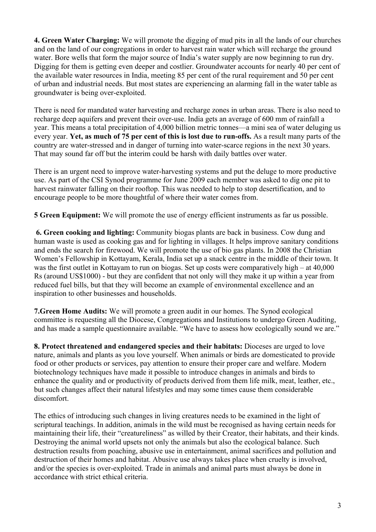**4. Green Water Charging:** We will promote the digging of mud pits in all the lands of our churches and on the land of our congregations in order to harvest rain water which will recharge the ground water. Bore wells that form the major source of India's water supply are now beginning to run dry. Digging for them is getting even deeper and costlier. Groundwater accounts for nearly 40 per cent of the available water resources in India, meeting 85 per cent of the rural requirement and 50 per cent of urban and industrial needs. But most states are experiencing an alarming fall in the water table as groundwater is being over-exploited.

There is need for mandated water harvesting and recharge zones in urban areas. There is also need to recharge deep aquifers and prevent their over-use. India gets an average of 600 mm of rainfall a year. This means a total precipitation of 4,000 billion metric tonnes—a mini sea of water deluging us every year. **Yet, as much of 75 per cent of this is lost due to run-offs.** As a result many parts of the country are water-stressed and in danger of turning into water-scarce regions in the next 30 years. That may sound far off but the interim could be harsh with daily battles over water.

There is an urgent need to improve water-harvesting systems and put the deluge to more productive use. As part of the CSI Synod programme for June 2009 each member was asked to dig one pit to harvest rainwater falling on their rooftop. This was needed to help to stop desertification, and to encourage people to be more thoughtful of where their water comes from.

**5 Green Equipment:** We will promote the use of energy efficient instruments as far us possible.

 **6. Green cooking and lighting:** Community biogas plants are back in business. Cow dung and human waste is used as cooking gas and for lighting in villages. It helps improve sanitary conditions and ends the search for firewood. We will promote the use of bio gas plants. In 2008 the Christian Women's Fellowship in Kottayam, Kerala, India set up a snack centre in the middle of their town. It was the first outlet in Kottayam to run on biogas. Set up costs were comparatively high – at 40,000 Rs (around US\$1000) - but they are confident that not only will they make it up within a year from reduced fuel bills, but that they will become an example of environmental excellence and an inspiration to other businesses and households.

**7.Green Home Audits:** We will promote a green audit in our homes. The Synod ecological committee is requesting all the Diocese, Congregations and Institutions to undergo Green Auditing, and has made a sample questionnaire available. "We have to assess how ecologically sound we are."

**8. Protect threatened and endangered species and their habitats:** Dioceses are urged to love nature, animals and plants as you love yourself. When animals or birds are domesticated to provide food or other products or services, pay attention to ensure their proper care and welfare. Modern biotechnology techniques have made it possible to introduce changes in animals and birds to enhance the quality and or productivity of products derived from them life milk, meat, leather, etc., but such changes affect their natural lifestyles and may some times cause them considerable discomfort.

The ethics of introducing such changes in living creatures needs to be examined in the light of scriptural teachings. In addition, animals in the wild must be recognised as having certain needs for maintaining their life, their "creatureliness" as willed by their Creator, their habitats, and their kinds. Destroying the animal world upsets not only the animals but also the ecological balance. Such destruction results from poaching, abusive use in entertainment, animal sacrifices and pollution and destruction of their homes and habitat. Abusive use always takes place when cruelty is involved, and/or the species is over-exploited. Trade in animals and animal parts must always be done in accordance with strict ethical criteria.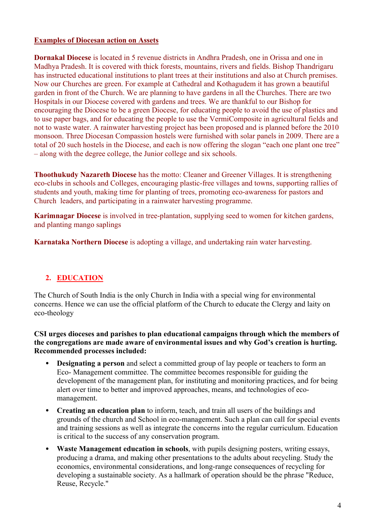### **Examples of Diocesan action on Assets**

**Dornakal Diocese** is located in 5 revenue districts in Andhra Pradesh, one in Orissa and one in Madhya Pradesh. It is covered with thick forests, mountains, rivers and fields. Bishop Thandrigaru has instructed educational institutions to plant trees at their institutions and also at Church premises. Now our Churches are green. For example at Cathedral and Kothagudem it has grown a beautiful garden in front of the Church. We are planning to have gardens in all the Churches. There are two Hospitals in our Diocese covered with gardens and trees. We are thankful to our Bishop for encouraging the Diocese to be a green Diocese, for educating people to avoid the use of plastics and to use paper bags, and for educating the people to use the VermiComposite in agricultural fields and not to waste water. A rainwater harvesting project has been proposed and is planned before the 2010 monsoon. Three Diocesan Compassion hostels were furnished with solar panels in 2009. There are a total of 20 such hostels in the Diocese, and each is now offering the slogan "each one plant one tree" – along with the degree college, the Junior college and six schools.

**Thoothukudy Nazareth Diocese** has the motto: Cleaner and Greener Villages. It is strengthening eco-clubs in schools and Colleges, encouraging plastic-free villages and towns, supporting rallies of students and youth, making time for planting of trees, promoting eco-awareness for pastors and Church leaders, and participating in a rainwater harvesting programme.

**Karimnagar Diocese** is involved in tree-plantation, supplying seed to women for kitchen gardens, and planting mango saplings

**Karnataka Northern Diocese** is adopting a village, and undertaking rain water harvesting.

# **2. EDUCATION**

The Church of South India is the only Church in India with a special wing for environmental concerns. Hence we can use the official platform of the Church to educate the Clergy and laity on eco-theology

**CSI urges dioceses and parishes to plan educational campaigns through which the members of the congregations are made aware of environmental issues and why God's creation is hurting. Recommended processes included:**

- **Designating a person** and select a committed group of lay people or teachers to form an Eco- Management committee. The committee becomes responsible for guiding the development of the management plan, for instituting and monitoring practices, and for being alert over time to better and improved approaches, means, and technologies of ecomanagement.
- **Creating an education plan** to inform, teach, and train all users of the buildings and grounds of the church and School in eco-management. Such a plan can call for special events and training sessions as well as integrate the concerns into the regular curriculum. Education is critical to the success of any conservation program.
- **Waste Management education in schools**, with pupils designing posters, writing essays, producing a drama, and making other presentations to the adults about recycling. Study the economics, environmental considerations, and long-range consequences of recycling for developing a sustainable society. As a hallmark of operation should be the phrase "Reduce, Reuse, Recycle."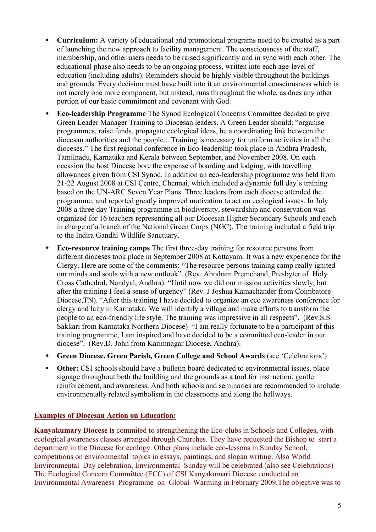- **Curriculum:** A variety of educational and promotional programs need to be created as a part of launching the new approach to facility management. The consciousness of the staff, membership, and other users needs to be raised significantly and in sync with each other. The educational phase also needs to be an ongoing process, written into each age-level of education (including adults). Reminders should be highly visible throughout the buildings and grounds. Every decision must have built into it an environmental consciousness which is not merely one more component, but instead, runs throughout the whole, as does any other portion of our basic commitment and covenant with God.
- **Eco-leadership Programme** The Synod Ecological Concerns Committee decided to give Green Leader Manager Training to Diocesan leaders. A Green Leader should: "organise programmes, raise funds, propagate ecological ideas, be a coordinating link between the diocesan authorities and the people... Training is necessary for uniform activities in all the dioceses." The first regional conference in Eco-leadership took place in Andhra Pradesh, Tamilnadu, Karnataka and Kerala between September, and November 2008. On each occasion the host Diocese bore the expense of boarding and lodging, with travelling allowances given from CSI Synod. In addition an eco-leadership programme was held from 21-22 August 2008 at CSI Centre, Chennai, which included a dynamic full day's training based on the UN-ARC Seven Year Plans. Three leaders from each diocese attended the programme, and reported greatly improved motivation to act on ecological issues. In July 2008 a three day Training programme in biodiversity, stewardship and conservation was organized for 16 teachers representing all our Diocesan Higher Secondary Schools and each in charge of a branch of the National Green Corps (NGC). The training included a field trip to the Indira Gandhi Wildlife Sanctuary.
- **Eco-resource training camps** The first three-day training for resource persons from different dioceses took place in September 2008 at Kottayam. It was a new experience for the Clergy. Here are some of the comments: "The resource persons training camp really ignited our minds and souls with a new outlook". (Rev. Abraham Premchand, Presbyter of Holy Cross Cathedral, Nandyal, Andhra). "Until now we did our mission activities slowly, but after the training I feel a sense of urgency" (Rev. J Joshua Kamachander from Coimbatore Diocese,TN). "After this training I have decided to organize an eco awareness conference for clergy and laity in Karnataka. We will identify a village and make efforts to transform the people to an eco-friendly life style. The training was impressive in all respects". (Rev.S.S Sakkari from Karnataka Northern Diocese) "I am really fortunate to be a participant of this training programme, I am inspired and have decided to be a committed eco-leader in our diocese". (Rev.D. John from Karimnagar Diocese, Andhra).
- **Green Diocese, Green Parish, Green College and School Awards** (see 'Celebrations')
- **Other:** CSI schools should have a bulletin board dedicated to environmental issues, place signage throughout both the building and the grounds as a tool for instruction, gentle reinforcement, and awareness. And both schools and seminaries are recommended to include environmentally related symbolism in the classrooms and along the hallways.

### **Examples of Diocesan Action on Education:**

**Kanyakumary Diocese is** commited to strengthening the Eco-clubs in Schools and Colleges, with ecological awareness classes arranged through Churches. They have requested the Bishop to start a department in the Diocese for ecology. Other plans include eco-lessons in Sunday School, competitions on environmental topics in essays, paintings, and slogan writing. Also World Environmental Day celebration, Environmental Sunday will be celebrated (also see Celebrations) The Ecological Concern Committee (ECC) of CSI Kanyakumari Diocese conducted an Environmental Awareness Programme on Global Warming in February 2009.The objective was to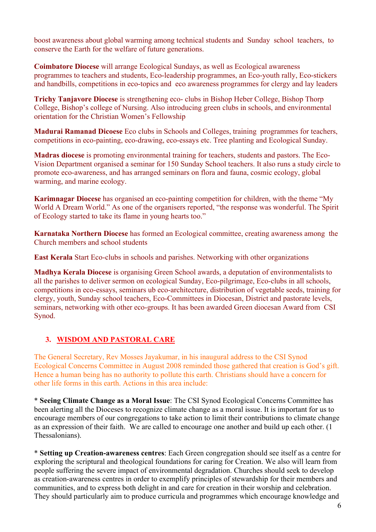boost awareness about global warming among technical students and Sunday school teachers, to conserve the Earth for the welfare of future generations.

**Coimbatore Diocese** will arrange Ecological Sundays, as well as Ecological awareness programmes to teachers and students, Eco-leadership programmes, an Eco-youth rally, Eco-stickers and handbills, competitions in eco-topics and eco awareness programmes for clergy and lay leaders

**Trichy Tanjavore Diocese** is strengthening eco- clubs in Bishop Heber College, Bishop Thorp College, Bishop's college of Nursing. Also introducing green clubs in schools, and environmental orientation for the Christian Women's Fellowship

**Madurai Ramanad Dicoese** Eco clubs in Schools and Colleges, training programmes for teachers, competitions in eco-painting, eco-drawing, eco-essays etc. Tree planting and Ecological Sunday.

**Madras diocese** is promoting environmental training for teachers, students and pastors. The Eco-Vision Department organised a seminar for 150 Sunday School teachers. It also runs a study circle to promote eco-awareness, and has arranged seminars on flora and fauna, cosmic ecology, global warming, and marine ecology.

**Karimnagar Diocese** has organised an eco-painting competition for children, with the theme "My World A Dream World." As one of the organisers reported, "the response was wonderful. The Spirit of Ecology started to take its flame in young hearts too."

**Karnataka Northern Diocese** has formed an Ecological committee, creating awareness among the Church members and school students

**East Kerala** Start Eco-clubs in schools and parishes. Networking with other organizations

**Madhya Kerala Diocese** is organising Green School awards, a deputation of environmentalists to all the parishes to deliver sermon on ecological Sunday, Eco-pilgrimage, Eco-clubs in all schools, competitions in eco-essays, seminars ub eco-architecture, distribution of vegetable seeds, training for clergy, youth, Sunday school teachers, Eco-Committees in Diocesan, District and pastorate levels, seminars, networking with other eco-groups. It has been awarded Green diocesan Award from CSI Synod.

# **3. WISDOM AND PASTORAL CARE**

The General Secretary, Rev Mosses Jayakumar, in his inaugural address to the CSI Synod Ecological Concerns Committee in August 2008 reminded those gathered that creation is God's gift. Hence a human being has no authority to pollute this earth. Christians should have a concern for other life forms in this earth. Actions in this area include:

\* **Seeing Climate Change as a Moral Issue**: The CSI Synod Ecological Concerns Committee has been alerting all the Dioceses to recognize climate change as a moral issue. It is important for us to encourage members of our congregations to take action to limit their contributions to climate change as an expression of their faith. We are called to encourage one another and build up each other. (1 Thessalonians).

\* **Setting up Creation-awareness centres**: Each Green congregation should see itself as a centre for exploring the scriptural and theological foundations for caring for Creation. We also will learn from people suffering the severe impact of environmental degradation. Churches should seek to develop as creation-awareness centres in order to exemplify principles of stewardship for their members and communities, and to express both delight in and care for creation in their worship and celebration. They should particularly aim to produce curricula and programmes which encourage knowledge and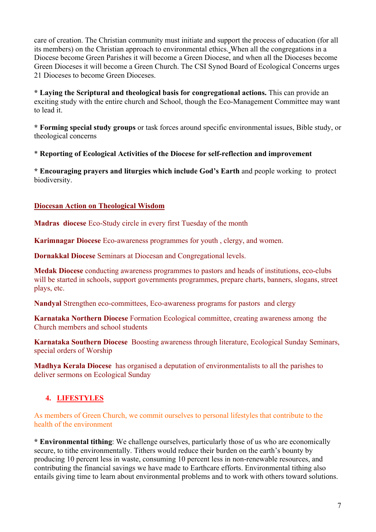care of creation. The Christian community must initiate and support the process of education (for all its members) on the Christian approach to environmental ethics. When all the congregations in a Diocese become Green Parishes it will become a Green Diocese, and when all the Dioceses become Green Dioceses it will become a Green Church. The CSI Synod Board of Ecological Concerns urges 21 Dioceses to become Green Dioceses.

**\* Laying the Scriptural and theological basis for congregational actions.** This can provide an exciting study with the entire church and School, though the Eco-Management Committee may want to lead it.

**\* Forming special study groups** or task forces around specific environmental issues, Bible study, or theological concerns

\* **Reporting of Ecological Activities of the Diocese for self-reflection and improvement**

**\* Encouraging prayers and liturgies which include God's Earth** and people working to protect biodiversity.

### **Diocesan Action on Theological Wisdom**

**Madras diocese** Eco-Study circle in every first Tuesday of the month

**Karimnagar Diocese** Eco-awareness programmes for youth , clergy, and women.

**Dornakkal Diocese** Seminars at Diocesan and Congregational levels.

**Medak Diocese** conducting awareness programmes to pastors and heads of institutions, eco-clubs will be started in schools, support governments programmes, prepare charts, banners, slogans, street plays, etc.

**Nandyal** Strengthen eco-committees, Eco-awareness programs for pastors and clergy

**Karnataka Northern Diocese** Formation Ecological committee, creating awareness among the Church members and school students

**Karnataka Southern Diocese** Boosting awareness through literature, Ecological Sunday Seminars, special orders of Worship

**Madhya Kerala Diocese** has organised a deputation of environmentalists to all the parishes to deliver sermons on Ecological Sunday

# **4. LIFESTYLES**

As members of Green Church, we commit ourselves to personal lifestyles that contribute to the health of the environment

**\* Environmental tithing**: We challenge ourselves, particularly those of us who are economically secure, to tithe environmentally. Tithers would reduce their burden on the earth's bounty by producing 10 percent less in waste, consuming 10 percent less in non-renewable resources, and contributing the financial savings we have made to Earthcare efforts. Environmental tithing also entails giving time to learn about environmental problems and to work with others toward solutions.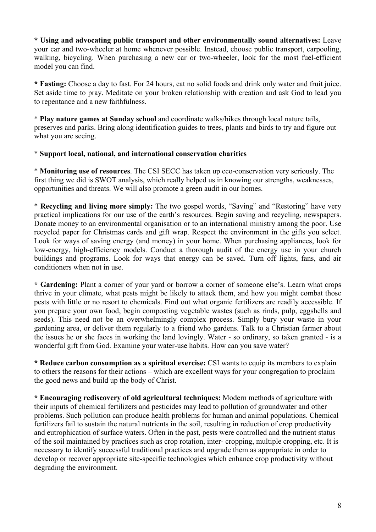**\* Using and advocating public transport and other environmentally sound alternatives:** Leave your car and two-wheeler at home whenever possible. Instead, choose public transport, carpooling, walking, bicycling. When purchasing a new car or two-wheeler, look for the most fuel-efficient model you can find.

**\* Fasting:** Choose a day to fast. For 24 hours, eat no solid foods and drink only water and fruit juice. Set aside time to pray. Meditate on your broken relationship with creation and ask God to lead you to repentance and a new faithfulness.

\* **Play nature games at Sunday school** and coordinate walks/hikes through local nature tails, preserves and parks. Bring along identification guides to trees, plants and birds to try and figure out what you are seeing.

### \* **Support local, national, and international conservation charities**

\* **Monitoring use of resources**. The CSI SECC has taken up eco-conservation very seriously. The first thing we did is SWOT analysis, which really helped us in knowing our strengths, weaknesses, opportunities and threats. We will also promote a green audit in our homes.

\* **Recycling and living more simply:** The two gospel words, "Saving" and "Restoring" have very practical implications for our use of the earth's resources. Begin saving and recycling, newspapers. Donate money to an environmental organisation or to an international ministry among the poor. Use recycled paper for Christmas cards and gift wrap. Respect the environment in the gifts you select. Look for ways of saving energy (and money) in your home. When purchasing appliances, look for low-energy, high-efficiency models. Conduct a thorough audit of the energy use in your church buildings and programs. Look for ways that energy can be saved. Turn off lights, fans, and air conditioners when not in use.

**\* Gardening:** Plant a corner of your yard or borrow a corner of someone else's. Learn what crops thrive in your climate, what pests might be likely to attack them, and how you might combat those pests with little or no resort to chemicals. Find out what organic fertilizers are readily accessible. If you prepare your own food, begin composting vegetable wastes (such as rinds, pulp, eggshells and seeds). This need not be an overwhelmingly complex process. Simply bury your waste in your gardening area, or deliver them regularly to a friend who gardens. Talk to a Christian farmer about the issues he or she faces in working the land lovingly. Water - so ordinary, so taken granted - is a wonderful gift from God. Examine your water-use habits. How can you save water?

**\* Reduce carbon consumption as a spiritual exercise:** CSI wants to equip its members to explain to others the reasons for their actions – which are excellent ways for your congregation to proclaim the good news and build up the body of Christ.

**\* Encouraging rediscovery of old agricultural techniques:** Modern methods of agriculture with their inputs of chemical fertilizers and pesticides may lead to pollution of groundwater and other problems. Such pollution can produce health problems for human and animal populations. Chemical fertilizers fail to sustain the natural nutrients in the soil, resulting in reduction of crop productivity and eutrophication of surface waters. Often in the past, pests were controlled and the nutrient status of the soil maintained by practices such as crop rotation, inter- cropping, multiple cropping, etc. It is necessary to identify successful traditional practices and upgrade them as appropriate in order to develop or recover appropriate site-specific technologies which enhance crop productivity without degrading the environment.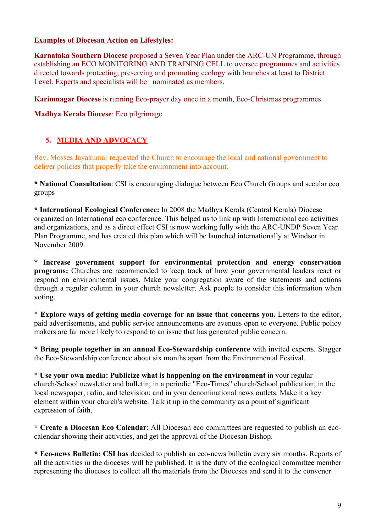### **Examples of Diocesan Action on Lifestyles:**

**Karnataka Southern Diocese** proposed a Seven Year Plan under the ARC-UN Programme, through establishing an ECO MONITORING AND TRAINING CELL to oversee programmes and activities directed towards protecting, preserving and promoting ecology with branches at least to District Level. Experts and specialists will be nominated as members.

**Karimnagar Diocese** is running Eco-prayer day once in a month, Eco-Christmas programmes

**Madhya Kerala Diocese**: Eco pilgrimage

# **5. MEDIA AND ADVOCACY**

Rev. Mosses Jayakumar requested the Church to encourage the local and national government to deliver policies that properly take the environment into account.

**\* National Consultation**: CSI is encouraging dialogue between Eco Church Groups and secular eco groups

**\* International Ecological Conference:** In 2008 the Madhya Kerala (Central Kerala) Diocese organized an International eco conference. This helped us to link up with International eco activities and organizations, and as a direct effect CSI is now working fully with the ARC-UNDP Seven Year Plan Programme, and has created this plan which will be launched internationally at Windsor in November 2009.

**\* Increase government support for environmental protection and energy conservation programs:** Churches are recommended to keep track of how your governmental leaders react or respond on environmental issues. Make your congregation aware of the statements and actions through a regular column in your church newsletter. Ask people to consider this information when voting.

\* **Explore ways of getting media coverage for an issue that concerns you.** Letters to the editor, paid advertisements, and public service announcements are avenues open to everyone. Public policy makers are far more likely to respond to an issue that has generated public concern.

**\* Bring people together in an annual Eco-Stewardship conference** with invited experts. Stagger the Eco-Stewardship conference about six months apart from the Environmental Festival.

\* **Use your own media: Publicize what is happening on the environment** in your regular church/School newsletter and bulletin; in a periodic "Eco-Times" church/School publication; in the local newspaper, radio, and television; and in your denominational news outlets. Make it a key element within your church's website. Talk it up in the community as a point of significant expression of faith.

**\* Create a Diocesan Eco Calendar**: All Diocesan eco committees are requested to publish an ecocalendar showing their activities, and get the approval of the Diocesan Bishop.

**\* Eco-news Bulletin: CSI has** decided to publish an eco-news bulletin every six months. Reports of all the activities in the dioceses will be published. It is the duty of the ecological committee member representing the dioceses to collect all the materials from the Dioceses and send it to the convener.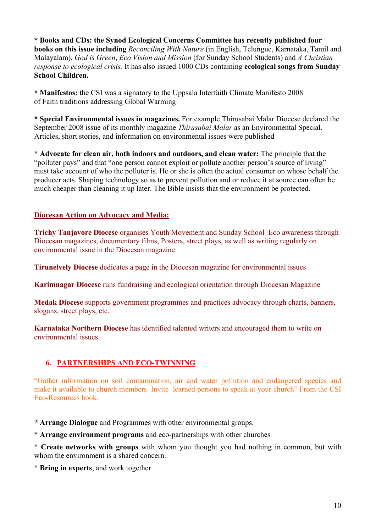**\* Books and CDs: the Synod Ecological Concerns Committee has recently published four books on this issue including** *Reconciling With Nature* (in English, Telungue, Karnataka, Tamil and Malayalam), *God is Green*, *Eco Vision and Mission* (for Sunday School Students) and *A Christian response to ecological crisis.* It has also issued 1000 CDs containing **ecological songs from Sunday School Children.**

**\* Manifestos:** the CSI was a signatory to the Uppsala Interfaith Climate Manifesto 2008 of Faith traditions addressing Global Warming

**\* Special Environmental issues in magazines.** For example Thirusabai Malar Diocese declared the September 2008 issue of its monthly magazine *Thirusabai Malar* as an Environmental Special. Articles, short stories, and information on environmental issues were published

\* **Advocate for clean air, both indoors and outdoors, and clean water:** The principle that the "polluter pays" and that "one person cannot exploit or pollute another person's source of living" must take account of who the polluter is. He or she is often the actual consumer on whose behalf the producer acts. Shaping technology so as to prevent pollution and or reduce it at source can often be much cheaper than cleaning it up later. The Bible insists that the environment be protected.

### **Diocesan Action on Advocacy and Media:**

**Trichy Tanjavore Diocese** organises Youth Movement and Sunday School Eco awareness through Diocesan magazines, documentary films, Posters, street plays, as well as writing regularly on environmental issue in the Diocesan magazine.

**Tirunelvely Diocese** dedicates a page in the Diocesan magazine for environmental issues

**Karimnagar Diocese** runs fundraising and ecological orientation through Diocesan Magazine

**Medak Diocese** supports government programmes and practices advocacy through charts, banners, slogans, street plays, etc.

**Karnataka Northern Diocese** has identified talented writers and encouraged them to write on environmental issues

## **6. PARTNERSHIPS AND ECO-TWINNING**

"Gather information on soil contamination, air and water pollution and endangered species and make it available to church members. Invite learned persons to speak at your church" From the CSI Eco-Resources book.

*\** **Arrange Dialogue** and Programmes with other environmental groups.

\* **Arrange environment programs** and eco-partnerships with other churches

\* **Create networks with groups** with whom you thought you had nothing in common, but with whom the environment is a shared concern.

\* **Bring in experts**, and work together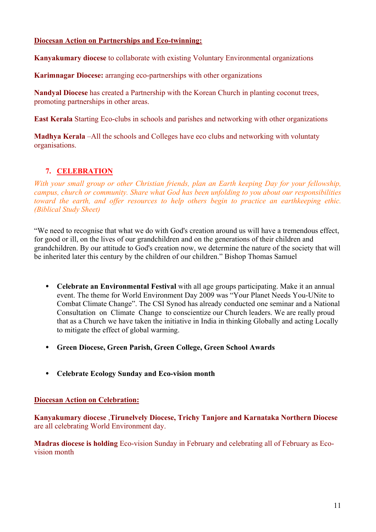### **Diocesan Action on Partnerships and Eco-twinning:**

**Kanyakumary diocese** to collaborate with existing Voluntary Environmental organizations

**Karimnagar Diocese:** arranging eco-partnerships with other organizations

**Nandyal Diocese** has created a Partnership with the Korean Church in planting coconut trees, promoting partnerships in other areas.

**East Kerala** Starting Eco-clubs in schools and parishes and networking with other organizations

**Madhya Kerala** –All the schools and Colleges have eco clubs and networking with voluntaty organisations.

## **7. CELEBRATION**

*With your small group or other Christian friends, plan an Earth keeping Day for your fellowship, campus, church or community. Share what God has been unfolding to you about our responsibilities toward the earth, and offer resources to help others begin to practice an earthkeeping ethic. (Biblical Study Sheet)*

"We need to recognise that what we do with God's creation around us will have a tremendous effect, for good or ill, on the lives of our grandchildren and on the generations of their children and grandchildren. By our attitude to God's creation now, we determine the nature of the society that will be inherited later this century by the children of our children." Bishop Thomas Samuel

- **Celebrate an Environmental Festival** with all age groups participating. Make it an annual event. The theme for World Environment Day 2009 was "Your Planet Needs You-UNite to Combat Climate Change". The CSI Synod has already conducted one seminar and a National Consultation on Climate Change to conscientize our Church leaders. We are really proud that as a Church we have taken the initiative in India in thinking Globally and acting Locally to mitigate the effect of global warming.
- **Green Diocese, Green Parish, Green College, Green School Awards**
- **Celebrate Ecology Sunday and Eco-vision month**

#### **Diocesan Action on Celebration:**

**Kanyakumary diocese** ,**Tirunelvely Diocese, Trichy Tanjore and Karnataka Northern Diocese**  are all celebrating World Environment day.

**Madras diocese is holding** Eco-vision Sunday in February and celebrating all of February as Ecovision month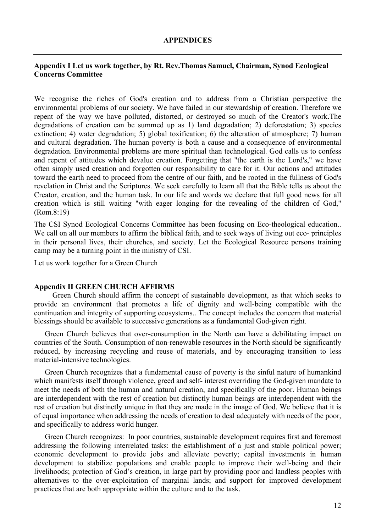#### **Appendix I Let us work together, by Rt. Rev.Thomas Samuel, Chairman, Synod Ecological Concerns Committee**

We recognise the riches of God's creation and to address from a Christian perspective the environmental problems of our society. We have failed in our stewardship of creation. Therefore we repent of the way we have polluted, distorted, or destroyed so much of the Creator's work.The degradations of creation can be summed up as 1) land degradation; 2) deforestation; 3) species extinction; 4) water degradation; 5) global toxification; 6) the alteration of atmosphere; 7) human and cultural degradation. The human poverty is both a cause and a consequence of environmental degradation. Environmental problems are more spiritual than technological. God calls us to confess and repent of attitudes which devalue creation. Forgetting that "the earth is the Lord's," we have often simply used creation and forgotten our responsibility to care for it. Our actions and attitudes toward the earth need to proceed from the centre of our faith, and be rooted in the fullness of God's revelation in Christ and the Scriptures. We seek carefully to learn all that the Bible tells us about the Creator, creation, and the human task. In our life and words we declare that full good news for all creation which is still waiting "with eager longing for the revealing of the children of God," (Rom.8:19)

The CSI Synod Ecological Concerns Committee has been focusing on Eco-theological education.. We call on all our members to affirm the biblical faith, and to seek ways of living out eco- principles in their personal lives, their churches, and society. Let the Ecological Resource persons training camp may be a turning point in the ministry of CSI.

Let us work together for a Green Church

#### **Appendix II GREEN CHURCH AFFIRMS**

 Green Church should affirm the concept of sustainable development, as that which seeks to provide an environment that promotes a life of dignity and well-being compatible with the continuation and integrity of supporting ecosystems.. The concept includes the concern that material blessings should be available to successive generations as a fundamental God-given right.

Green Church believes that over-consumption in the North can have a debilitating impact on countries of the South. Consumption of non-renewable resources in the North should be significantly reduced, by increasing recycling and reuse of materials, and by encouraging transition to less material-intensive technologies.

Green Church recognizes that a fundamental cause of poverty is the sinful nature of humankind which manifests itself through violence, greed and self- interest overriding the God-given mandate to meet the needs of both the human and natural creation, and specifically of the poor. Human beings are interdependent with the rest of creation but distinctly human beings are interdependent with the rest of creation but distinctly unique in that they are made in the image of God. We believe that it is of equal importance when addressing the needs of creation to deal adequately with needs of the poor, and specifically to address world hunger.

Green Church recognizes: In poor countries, sustainable development requires first and foremost addressing the following interrelated tasks: the establishment of a just and stable political power; economic development to provide jobs and alleviate poverty; capital investments in human development to stabilize populations and enable people to improve their well-being and their livelihoods; protection of God's creation, in large part by providing poor and landless peoples with alternatives to the over-exploitation of marginal lands; and support for improved development practices that are both appropriate within the culture and to the task.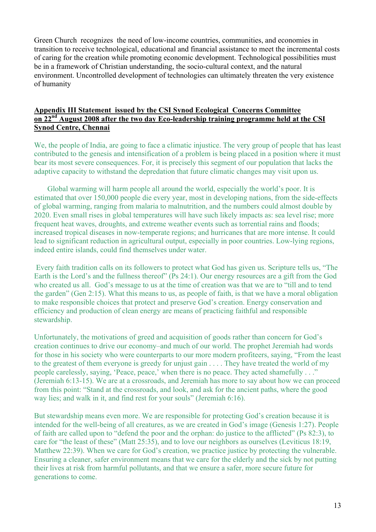Green Church recognizes the need of low-income countries, communities, and economies in transition to receive technological, educational and financial assistance to meet the incremental costs of caring for the creation while promoting economic development. Technological possibilities must be in a framework of Christian understanding, the socio-cultural context, and the natural environment. Uncontrolled development of technologies can ultimately threaten the very existence of humanity

#### **Appendix III Statement issued by the CSI Synod Ecological Concerns Committee on 22nd August 2008 after the two day Eco-leadership training programme held at the CSI Synod Centre, Chennai**

We, the people of India, are going to face a climatic injustice. The very group of people that has least contributed to the genesis and intensification of a problem is being placed in a position where it must bear its most severe consequences. For, it is precisely this segment of our population that lacks the adaptive capacity to withstand the depredation that future climatic changes may visit upon us.

 Global warming will harm people all around the world, especially the world's poor. It is estimated that over 150,000 people die every year, most in developing nations, from the side-effects of global warming, ranging from malaria to malnutrition, and the numbers could almost double by 2020. Even small rises in global temperatures will have such likely impacts as: sea level rise; more frequent heat waves, droughts, and extreme weather events such as torrential rains and floods; increased tropical diseases in now-temperate regions; and hurricanes that are more intense. It could lead to significant reduction in agricultural output, especially in poor countries. Low-lying regions, indeed entire islands, could find themselves under water.

 Every faith tradition calls on its followers to protect what God has given us. Scripture tells us, "The Earth is the Lord's and the fullness thereof" (Ps 24:1). Our energy resources are a gift from the God who created us all. God's message to us at the time of creation was that we are to "till and to tend the garden" (Gen 2:15). What this means to us, as people of faith, is that we have a moral obligation to make responsible choices that protect and preserve God's creation. Energy conservation and efficiency and production of clean energy are means of practicing faithful and responsible stewardship.

Unfortunately, the motivations of greed and acquisition of goods rather than concern for God's creation continues to drive our economy–and much of our world. The prophet Jeremiah had words for those in his society who were counterparts to our more modern profiteers, saying, "From the least to the greatest of them everyone is greedy for unjust gain . . . . They have treated the world of my people carelessly, saying, 'Peace, peace,' when there is no peace. They acted shamefully . . ." (Jeremiah 6:13-15). We are at a crossroads, and Jeremiah has more to say about how we can proceed from this point: "Stand at the crossroads, and look, and ask for the ancient paths, where the good way lies; and walk in it, and find rest for your souls" (Jeremiah 6:16).

But stewardship means even more. We are responsible for protecting God's creation because it is intended for the well-being of all creatures, as we are created in God's image (Genesis 1:27). People of faith are called upon to "defend the poor and the orphan: do justice to the afflicted" (Ps 82:3), to care for "the least of these" (Matt 25:35), and to love our neighbors as ourselves (Leviticus 18:19, Matthew 22:39). When we care for God's creation, we practice justice by protecting the vulnerable. Ensuring a cleaner, safer environment means that we care for the elderly and the sick by not putting their lives at risk from harmful pollutants, and that we ensure a safer, more secure future for generations to come.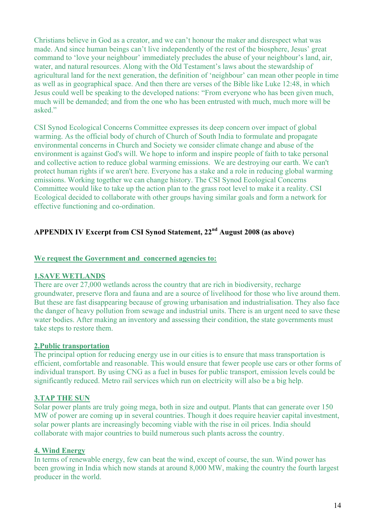Christians believe in God as a creator, and we can't honour the maker and disrespect what was made. And since human beings can't live independently of the rest of the biosphere, Jesus' great command to 'love your neighbour' immediately precludes the abuse of your neighbour's land, air, water, and natural resources. Along with the Old Testament's laws about the stewardship of agricultural land for the next generation, the definition of 'neighbour' can mean other people in time as well as in geographical space. And then there are verses of the Bible like Luke 12:48, in which Jesus could well be speaking to the developed nations: "From everyone who has been given much, much will be demanded; and from the one who has been entrusted with much, much more will be asked"

CSI Synod Ecological Concerns Committee expresses its deep concern over impact of global warming. As the official body of church of Church of South India to formulate and propagate environmental concerns in Church and Society we consider climate change and abuse of the environment is against God's will. We hope to inform and inspire people of faith to take personal and collective action to reduce global warming emissions. We are destroying our earth. We can't protect human rights if we aren't here. Everyone has a stake and a role in reducing global warming emissions. Working together we can change history. The CSI Synod Ecological Concerns Committee would like to take up the action plan to the grass root level to make it a reality. CSI Ecological decided to collaborate with other groups having similar goals and form a network for effective functioning and co-ordination.

# **APPENDIX IV Excerpt from CSI Synod Statement, 22nd August 2008 (as above)**

### **We request the Government and concerned agencies to:**

#### **1.SAVE WETLANDS**

There are over 27,000 wetlands across the country that are rich in biodiversity, recharge groundwater, preserve flora and fauna and are a source of livelihood for those who live around them. But these are fast disappearing because of growing urbanisation and industrialisation. They also face the danger of heavy pollution from sewage and industrial units. There is an urgent need to save these water bodies. After making an inventory and assessing their condition, the state governments must take steps to restore them.

#### **2.Public transportation**

The principal option for reducing energy use in our cities is to ensure that mass transportation is efficient, comfortable and reasonable. This would ensure that fewer people use cars or other forms of individual transport. By using CNG as a fuel in buses for public transport, emission levels could be significantly reduced. Metro rail services which run on electricity will also be a big help.

#### **3.TAP THE SUN**

Solar power plants are truly going mega, both in size and output. Plants that can generate over 150 MW of power are coming up in several countries. Though it does require heavier capital investment, solar power plants are increasingly becoming viable with the rise in oil prices. India should collaborate with major countries to build numerous such plants across the country.

#### **4. Wind Energy**

In terms of renewable energy, few can beat the wind, except of course, the sun. Wind power has been growing in India which now stands at around 8,000 MW, making the country the fourth largest producer in the world.